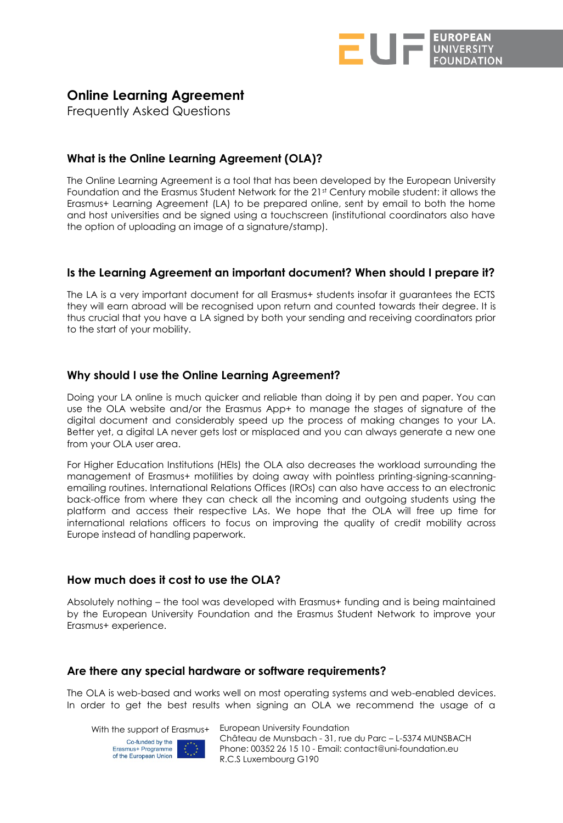

# **Online Learning Agreement**

Frequently Asked Questions

# **What is the Online Learning Agreement (OLA)?**

The Online Learning Agreement is a tool that has been developed by the European University Foundation and the Erasmus Student Network for the 21st Century mobile student: it allows the Erasmus+ Learning Agreement (LA) to be prepared online, sent by email to both the home and host universities and be signed using a touchscreen (institutional coordinators also have the option of uploading an image of a signature/stamp).

## **Is the Learning Agreement an important document? When should I prepare it?**

The LA is a very important document for all Erasmus+ students insofar it guarantees the ECTS they will earn abroad will be recognised upon return and counted towards their degree. It is thus crucial that you have a LA signed by both your sending and receiving coordinators prior to the start of your mobility.

## **Why should I use the Online Learning Agreement?**

Doing your LA online is much quicker and reliable than doing it by pen and paper. You can use the OLA website and/or the Erasmus App+ to manage the stages of signature of the digital document and considerably speed up the process of making changes to your LA. Better yet, a digital LA never gets lost or misplaced and you can always generate a new one from your OLA user area.

For Higher Education Institutions (HEIs) the OLA also decreases the workload surrounding the management of Erasmus+ motilities by doing away with pointless printing-signing-scanningemailing routines. International Relations Offices (IROs) can also have access to an electronic back-office from where they can check all the incoming and outgoing students using the platform and access their respective LAs. We hope that the OLA will free up time for international relations officers to focus on improving the quality of credit mobility across Europe instead of handling paperwork.

## **How much does it cost to use the OLA?**

Absolutely nothing – the tool was developed with Erasmus+ funding and is being maintained by the European University Foundation and the Erasmus Student Network to improve your Erasmus+ experience.

#### **Are there any special hardware or software requirements?**

The OLA is web-based and works well on most operating systems and web-enabled devices. In order to get the best results when signing an OLA we recommend the usage of a

With the support of Erasmus+ European University Foundation



Château de Munsbach - 31, rue du Parc – L-5374 MUNSBACH Phone: 00352 26 15 10 - Email: contact@uni-foundation.eu R.C.S Luxembourg G190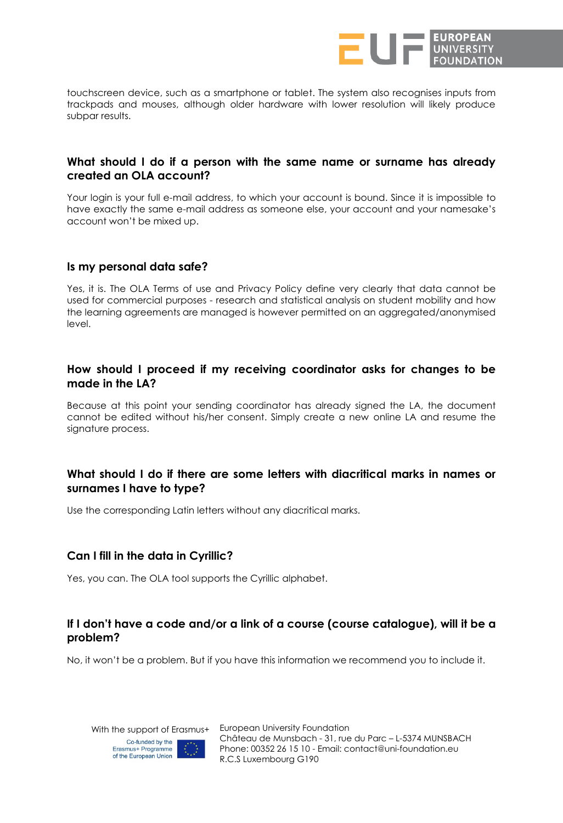

touchscreen device, such as a smartphone or tablet. The system also recognises inputs from trackpads and mouses, although older hardware with lower resolution will likely produce subpar results.

#### **What should I do if a person with the same name or surname has already created an OLA account?**

Your login is your full e-mail address, to which your account is bound. Since it is impossible to have exactly the same e-mail address as someone else, your account and your namesake's account won't be mixed up.

#### **Is my personal data safe?**

Yes, it is. The OLA Terms of use and Privacy Policy define very clearly that data cannot be used for commercial purposes - research and statistical analysis on student mobility and how the learning agreements are managed is however permitted on an aggregated/anonymised level.

#### **How should I proceed if my receiving coordinator asks for changes to be made in the LA?**

Because at this point your sending coordinator has already signed the LA, the document cannot be edited without his/her consent. Simply create a new online LA and resume the signature process.

## **What should I do if there are some letters with diacritical marks in names or surnames I have to type?**

Use the corresponding Latin letters without any diacritical marks.

#### **Can I fill in the data in Cyrillic?**

Yes, you can. The OLA tool supports the Cyrillic alphabet.

## **If I don't have a code and/or a link of a course (course catalogue), will it be a problem?**

No, it won't be a problem. But if you have this information we recommend you to include it.

Co-funded by the



With the support of Erasmus+ European University Foundation Château de Munsbach - 31, rue du Parc – L-5374 MUNSBACH Phone: 00352 26 15 10 - Email: contact@uni-foundation.eu R.C.S Luxembourg G190